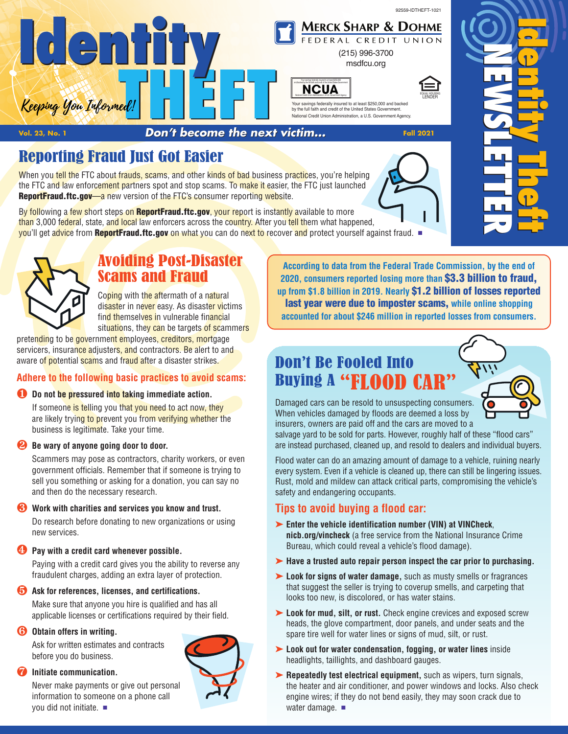

EQUAL HOUSING LENDER



[msdfcu.org](www.msdfcu.org)



Your savings federally insured to at least \$250,000 and backed by the full faith and credit of the United States Government. National Credit Union Administration, a U.S. Government Agency.

**Vol. 23, No. <sup>1</sup>** *Don't become the next victim...* **Fall <sup>2021</sup>** <u>FHEFT</u><br> **THEFT**<br> **Pon't becaus the next** 

# Reporting Fraud Just Got Easier

When you tell the FTC about frauds, scams, and other kinds of bad business practices, you're helping the FTC and law enforcement partners spot and stop scams. To make it easier, the FTC just launched **[ReportFraud.ftc.gov](www.ReportFraud.ftc.gov)—a** new version of the FTC's consumer reporting website.

By following a few short steps on **[ReportFraud.ftc.gov](www.ReportFraud.ftc.gov)**, your report is instantly available to more than 3,000 federal, state, and local law enforcers across the country. After you tell them what happened, you'll get advice from **[ReportFraud.ftc.gov](www.ReportFraud.ftc.gov)** on what you can do next to recover and protect yourself against fraud. <sup>n</sup>



### Avoiding Post-Disaster Scams and Fraud

Coping with the aftermath of a natural disaster in never easy. As disaster victims find themselves in vulnerable financial situations, they can be targets of scammers

pretending to be government employees, creditors, mortgage servicers, insurance adjusters, and contractors. Be alert to and aware of potential scams and fraud after a disaster strikes.

### **Adhere to the following basic practices to avoid scams:**

### ∂ **Do not be pressured into taking immediate action.**

If someone is telling you that you need to act now, they are likely trying to prevent you from verifying whether the business is legitimate. Take your time.

### ∑ **Be wary of anyone going door to door.**

 Scammers may pose as contractors, charity workers, or even government officials. Remember that if someone is trying to sell you something or asking for a donation, you can say no and then do the necessary research.

### ∏ **Work with charities and services you know and trust.**

 Do research before donating to new organizations or using new services.

### **Pay** with a credit card whenever possible.

 Paying with a credit card gives you the ability to reverse any fraudulent charges, adding an extra layer of protection.

### ∫ **Ask for references, licenses, and certifications.**

Make sure that anyone you hire is qualified and has all applicable licenses or certifications required by their field.

### ª **Obtain offers in writing.**

 Ask for written estimates and contracts before you do business.

### º **Initiate communication.**

 Never make payments or give out personal information to someone on a phone call you did not initiate.  $\blacksquare$ 



**According to data from the Federal Trade Commission, by the end of 2020, consumers reported losing more than \$3.3 billion to fraud, up from \$1.8 billion in 2019. Nearly \$1.2 billion of losses reported last year were due to imposter scams, while online shopping accounted for about \$246 million in reported losses from consumers.**

# Don't Be Fooled Into Buying A "FLOOD CA



Damaged cars can be resold to unsuspecting consumers. When vehicles damaged by floods are deemed a loss by insurers, owners are paid off and the cars are moved to a

salvage yard to be sold for parts. However, roughly half of these "flood cars" are instead purchased, cleaned up, and resold to dealers and individual buyers.

Flood water can do an amazing amount of damage to a vehicle, ruining nearly every system. Even if a vehicle is cleaned up, there can still be lingering issues. Rust, mold and mildew can attack critical parts, compromising the vehicle's safety and endangering occupants.

### **Tips to avoid buying a flood car:**

- ‰ **Enter the vehicle identification number (VIN) at VINCheck**, **[nicb.org/vincheck](www.nicb.org/vincheck)** (a free service from the National Insurance Crime Bureau, which could reveal a vehicle's flood damage).
- ‰ **Have a trusted auto repair person inspect the car prior to purchasing.**
- ‰ **Look for signs of water damage,** such as musty smells or fragrances that suggest the seller is trying to coverup smells, and carpeting that looks too new, is discolored, or has water stains.
- ‰ **Look for mud, silt, or rust.** Check engine crevices and exposed screw heads, the glove compartment, door panels, and under seats and the spare tire well for water lines or signs of mud, silt, or rust.
- ‰ **Look out for water condensation, fogging, or water lines** inside headlights, taillights, and dashboard gauges.
- ‰ **Repeatedly test electrical equipment,** such as wipers, turn signals, the heater and air conditioner, and power windows and locks. Also check engine wires; if they do not bend easily, they may soon crack due to water damage.  $\blacksquare$



**E**

**E**

**N**

**I d**

**I d**

**e**

**e**

**n t i t y**

**n t i t y**

> **T h**

**T h**

**e f t**

**e f t**

**W**

**W**

**S L E T**

**S L E T**